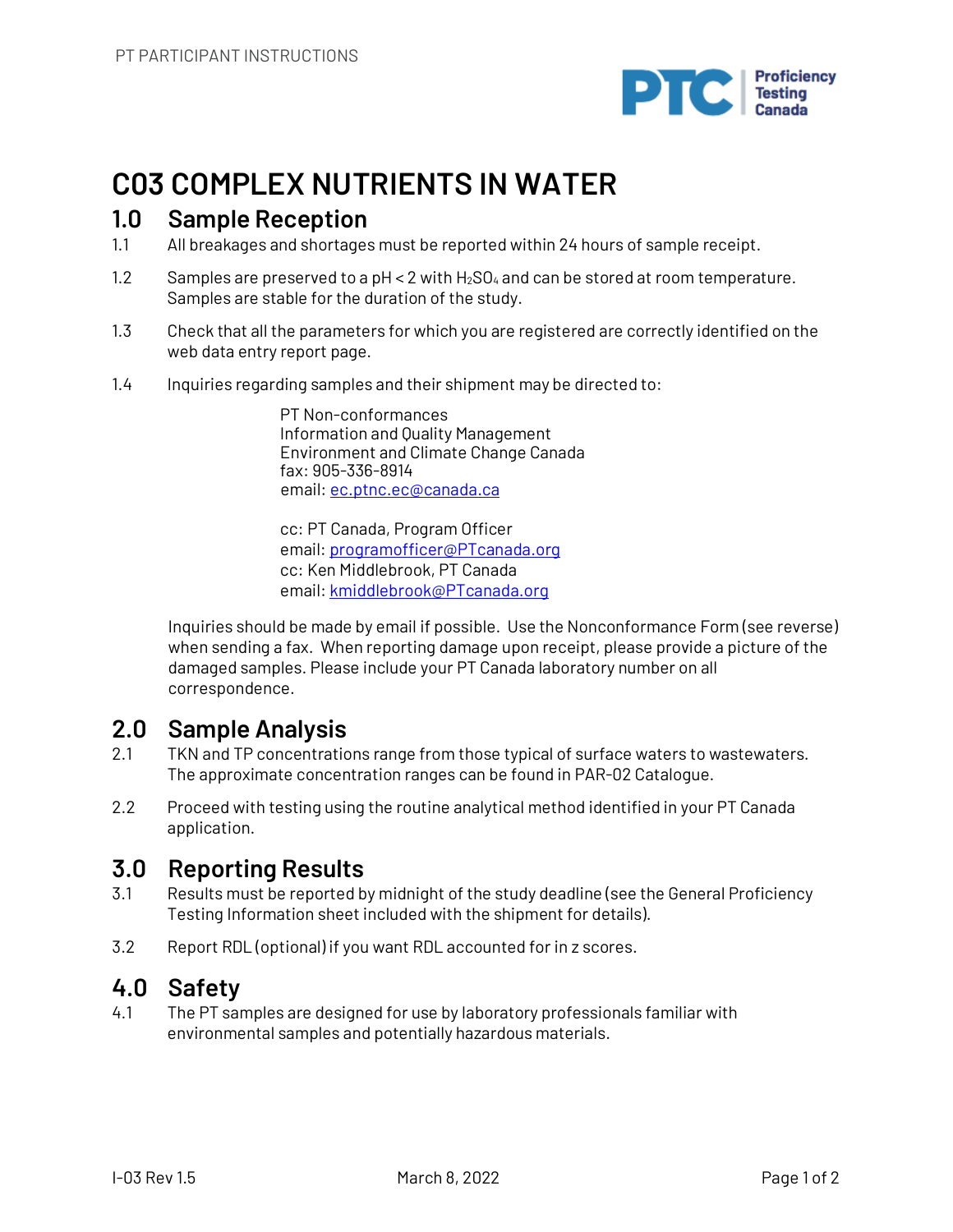

## **C03 COMPLEX NUTRIENTS IN WATER**

### **1.0 Sample Reception**

- 1.1 All breakages and shortages must be reported within 24 hours of sample receipt.
- 1.2 Samples are preserved to a  $pH < 2$  with  $H_2SO_4$  and can be stored at room temperature. Samples are stable for the duration of the study.
- 1.3 Check that all the parameters for which you are registered are correctly identified on the web data entry report page.
- 1.4 Inquiries regarding samples and their shipment may be directed to:

PT Non-conformances Information and Quality Management Environment and Climate Change Canada fax: 905-336-8914 email: ec.ptnc.ec@canada.ca

cc: PT Canada, Program Officer email: programofficer@PTcanada.org cc: Ken Middlebrook, PT Canada email: kmiddlebrook@PTcanada.org

Inquiries should be made by email if possible. Use the Nonconformance Form (see reverse) when sending a fax. When reporting damage upon receipt, please provide a picture of the damaged samples. Please include your PT Canada laboratory number on all correspondence.

## **2.0 Sample Analysis**

- 2.1 TKN and TP concentrations range from those typical of surface waters to wastewaters. The approximate concentration ranges can be found in PAR-02 Catalogue.
- 2.2 Proceed with testing using the routine analytical method identified in your PT Canada application.

## **3.0 Reporting Results**

- 3.1 Results must be reported by midnight of the study deadline (see the General Proficiency Testing Information sheet included with the shipment for details).
- 3.2 Report RDL (optional) if you want RDL accounted for in z scores.

## **4.0 Safety**

4.1 The PT samples are designed for use by laboratory professionals familiar with environmental samples and potentially hazardous materials.